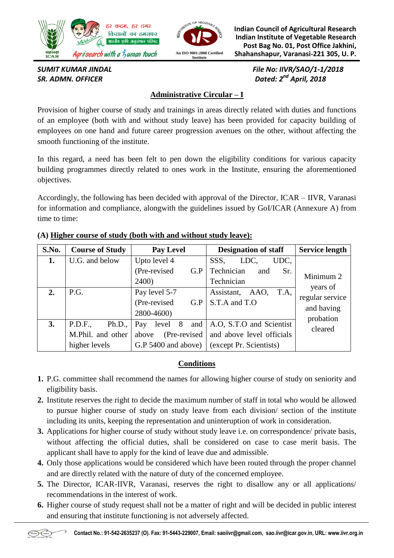



**Indian Council of Agricultural Research Indian Institute of Vegetable Research Post Bag No. 01, Post Office Jakhini, Shahanshapur, Varanasi-221 305, U. P.**

*SR. ADMN. OFFICER* 

*SUMIT KUMAR JINDAL File No: IIVR/SAO/1-1/2018 Dated: 2<sup>nd</sup> April, 2018* 

## **Administrative Circular – I**

Provision of higher course of study and trainings in areas directly related with duties and functions of an employee (both with and without study leave) has been provided for capacity building of employees on one hand and future career progression avenues on the other, without affecting the smooth functioning of the institute.

In this regard, a need has been felt to pen down the eligibility conditions for various capacity building programmes directly related to ones work in the Institute, ensuring the aforementioned objectives.

Accordingly, the following has been decided with approval of the Director, ICAR – IIVR, Varanasi for information and compliance, alongwith the guidelines issued by GoI/ICAR (Annexure A) from time to time:

| S.No. | <b>Course of Study</b>                                  | <b>Pay Level</b>                                                       | <b>Designation of staff</b>                                                      | <b>Service length</b>                     |
|-------|---------------------------------------------------------|------------------------------------------------------------------------|----------------------------------------------------------------------------------|-------------------------------------------|
| 1.    | U.G. and below                                          | Upto level 4<br>(Pre-revised<br>G.P<br>2400)                           | UDC.<br>SSS,<br>LDC,<br>Technician<br>and<br>Sr.<br>Technician                   | Minimum 2                                 |
| 2.    | P.G.                                                    | Pay level 5-7<br>(Pre-revised)<br>G.P<br>2800-4600)                    | T.A,<br>AAO,<br>Assistant,<br>S.T.A and T.O                                      | years of<br>regular service<br>and having |
| 3.    | P.D.F.,<br>Ph.D.,<br>M.Phil. and other<br>higher levels | level 8<br>and<br>Pay<br>(Pre-revised)<br>above<br>G.P 5400 and above) | A.O. S.T.O and Scientist<br>and above level officials<br>(except Pr. Scientists) | probation<br>cleared                      |

#### **(A) Higher course of study (both with and without study leave):**

## **Conditions**

- **1.** P.G. committee shall recommend the names for allowing higher course of study on seniority and eligibility basis.
- **2.** Institute reserves the right to decide the maximum number of staff in total who would be allowed to pursue higher course of study on study leave from each division/ section of the institute including its units, keeping the representation and uninteruption of work in consideration.
- **3.** Applications for higher course of study without study leave i.e. on correspondence/ private basis, without affecting the official duties, shall be considered on case to case merit basis. The applicant shall have to apply for the kind of leave due and admissible.
- **4.** Only those applications would be considered which have been routed through the proper channel and are directly related with the nature of duty of the concerned employee.
- **5.** The Director, ICAR-IIVR, Varanasi, reserves the right to disallow any or all applications/ recommendations in the interest of work.
- **6.** Higher course of study request shall not be a matter of right and will be decided in public interest and ensuring that institute functioning is not adversely affected.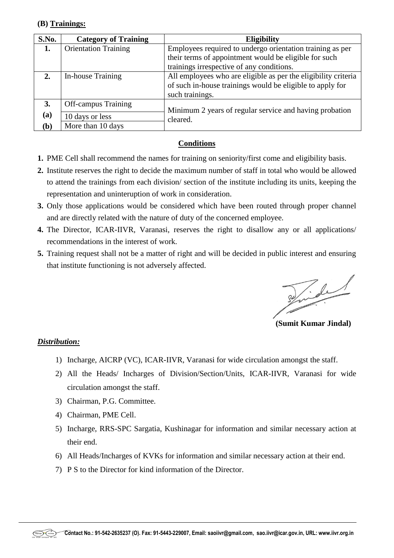#### **(B) Trainings:**

| S.No.        | <b>Category of Training</b> | <b>Eligibility</b>                                                  |  |
|--------------|-----------------------------|---------------------------------------------------------------------|--|
| 1.           | <b>Orientation Training</b> | Employees required to undergo orientation training as per           |  |
|              |                             | their terms of appointment would be eligible for such               |  |
|              |                             | trainings irrespective of any conditions.                           |  |
| 2.           | In-house Training           | All employees who are eligible as per the eligibility criteria      |  |
|              |                             | of such in-house trainings would be eligible to apply for           |  |
|              |                             | such trainings.                                                     |  |
| 3.           | <b>Off-campus Training</b>  | Minimum 2 years of regular service and having probation<br>cleared. |  |
| (a)          | 10 days or less             |                                                                     |  |
| ( <b>b</b> ) | More than 10 days           |                                                                     |  |

## **Conditions**

- **1.** PME Cell shall recommend the names for training on seniority/first come and eligibility basis.
- **2.** Institute reserves the right to decide the maximum number of staff in total who would be allowed to attend the trainings from each division/ section of the institute including its units, keeping the representation and uninteruption of work in consideration.
- **3.** Only those applications would be considered which have been routed through proper channel and are directly related with the nature of duty of the concerned employee.
- **4.** The Director, ICAR-IIVR, Varanasi, reserves the right to disallow any or all applications/ recommendations in the interest of work.
- **5.** Training request shall not be a matter of right and will be decided in public interest and ensuring that institute functioning is not adversely affected.

Tide

 **(Sumit Kumar Jindal)**

#### *Distribution:*

- 1) Incharge, AICRP (VC), ICAR-IIVR, Varanasi for wide circulation amongst the staff.
- 2) All the Heads/ Incharges of Division/Section/Units, ICAR-IIVR, Varanasi for wide circulation amongst the staff.
- 3) Chairman, P.G. Committee.
- 4) Chairman, PME Cell.
- 5) Incharge, RRS-SPC Sargatia, Kushinagar for information and similar necessary action at their end.
- 6) All Heads/Incharges of KVKs for information and similar necessary action at their end.
- 7) P S to the Director for kind information of the Director.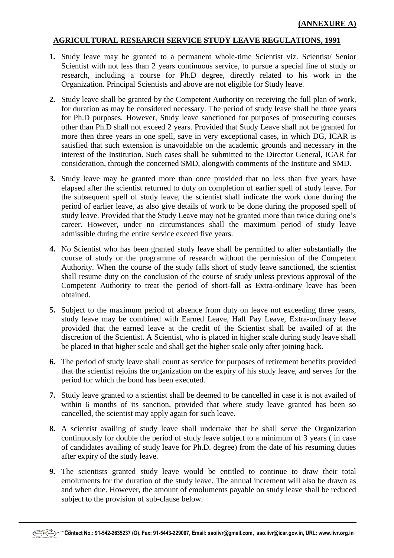#### **AGRICULTURAL RESEARCH SERVICE STUDY LEAVE REGULATIONS, 1991**

- 1. Study leave may be granted to a permanent whole-time Scientist viz. Scientist/ Senior Scientist with not less than 2 years continuous service, to pursue a special line of study or research, including a course for Ph.D degree, directly related to his work in the Organization. Principal Scientists and above are not eligible for Study leave.
- **2.** Study leave shall be granted by the Competent Authority on receiving the full plan of work, for duration as may be considered necessary. The period of study leave shall be three years for Ph.D purposes. However, Study leave sanctioned for purposes of prosecuting courses other than Ph.D shall not exceed 2 years. Provided that Study Leave shall not be granted for more then three years in one spell, save in very exceptional cases, in which DG, ICAR is satisfied that such extension is unavoidable on the academic grounds and necessary in the interest of the Institution. Such cases shall be submitted to the Director General, ICAR for consideration, through the concerned SMD, alongwith comments of the Institute and SMD.
- **3.** Study leave may be granted more than once provided that no less than five years have elapsed after the scientist returned to duty on completion of earlier spell of study leave. For the subsequent spell of study leave, the scientist shall indicate the work done during the period of earlier leave, as also give details of work to be done during the proposed spell of study leave. Provided that the Study Leave may not be granted more than twice during one's career. However, under no circumstances shall the maximum period of study leave admissible during the entire service exceed five years.
- **4.** No Scientist who has been granted study leave shall be permitted to alter substantially the course of study or the programme of research without the permission of the Competent Authority. When the course of the study falls short of study leave sanctioned, the scientist shall resume duty on the conclusion of the course of study unless previous approval of the Competent Authority to treat the period of short-fall as Extra-ordinary leave has been obtained.
- **5.** Subject to the maximum period of absence from duty on leave not exceeding three years, study leave may be combined with Earned Leave, Half Pay Leave, Extra-ordinary leave provided that the earned leave at the credit of the Scientist shall be availed of at the discretion of the Scientist. A Scientist, who is placed in higher scale during study leave shall be placed in that higher scale and shall get the higher scale only after joining back.
- **6.** The period of study leave shall count as service for purposes of retirement benefits provided that the scientist rejoins the organization on the expiry of his study leave, and serves for the period for which the bond has been executed.
- **7.** Study leave granted to a scientist shall be deemed to be cancelled in case it is not availed of within 6 months of its sanction, provided that where study leave granted has been so cancelled, the scientist may apply again for such leave.
- **8.** A scientist availing of study leave shall undertake that he shall serve the Organization continuously for double the period of study leave subject to a minimum of 3 years ( in case of candidates availing of study leave for Ph.D. degree) from the date of his resuming duties after expiry of the study leave.
- **9.** The scientists granted study leave would be entitled to continue to draw their total emoluments for the duration of the study leave. The annual increment will also be drawn as and when due. However, the amount of emoluments payable on study leave shall be reduced subject to the provision of sub-clause below.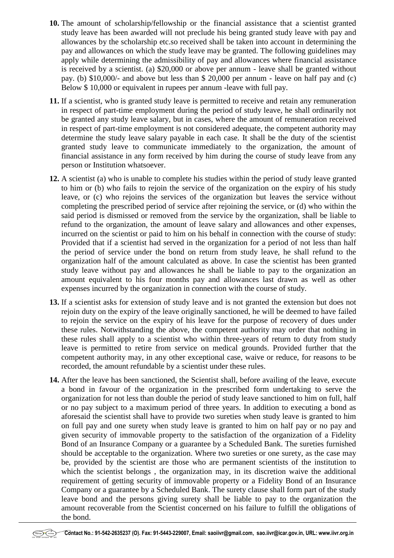- **10.** The amount of scholarship/fellowship or the financial assistance that a scientist granted study leave has been awarded will not preclude his being granted study leave with pay and allowances by the scholarship etc.so received shall be taken into account in determining the pay and allowances on which the study leave may be granted. The following guidelines may apply while determining the admissibility of pay and allowances where financial assistance is received by a scientist. (a) \$20,000 or above per annum - leave shall be granted without pay. (b) \$10,000/- and above but less than \$ 20,000 per annum - leave on half pay and (c) Below \$ 10,000 or equivalent in rupees per annum -leave with full pay.
- **11.** If a scientist, who is granted study leave is permitted to receive and retain any remuneration in respect of part-time employment during the period of study leave, he shall ordinarily not be granted any study leave salary, but in cases, where the amount of remuneration received in respect of part-time employment is not considered adequate, the competent authority may determine the study leave salary payable in each case. It shall be the duty of the scientist granted study leave to communicate immediately to the organization, the amount of financial assistance in any form received by him during the course of study leave from any person or Institution whatsoever.
- **12.** A scientist (a) who is unable to complete his studies within the period of study leave granted to him or (b) who fails to rejoin the service of the organization on the expiry of his study leave, or (c) who rejoins the services of the organization but leaves the service without completing the prescribed period of service after rejoining the service, or (d) who within the said period is dismissed or removed from the service by the organization, shall be liable to refund to the organization, the amount of leave salary and allowances and other expenses, incurred on the scientist or paid to him on his behalf in connection with the course of study: Provided that if a scientist had served in the organization for a period of not less than half the period of service under the bond on return from study leave, he shall refund to the organization half of the amount calculated as above. In case the scientist has been granted study leave without pay and allowances he shall be liable to pay to the organization an amount equivalent to his four months pay and allowances last drawn as well as other expenses incurred by the organization in connection with the course of study.
- **13.** If a scientist asks for extension of study leave and is not granted the extension but does not rejoin duty on the expiry of the leave originally sanctioned, he will be deemed to have failed to rejoin the service on the expiry of his leave for the purpose of recovery of dues under these rules. Notwithstanding the above, the competent authority may order that nothing in these rules shall apply to a scientist who within three-years of return to duty from study leave is permitted to retire from service on medical grounds. Provided further that the competent authority may, in any other exceptional case, waive or reduce, for reasons to be recorded, the amount refundable by a scientist under these rules.
- **14.** After the leave has been sanctioned, the Scientist shall, before availing of the leave, execute a bond in favour of the organization in the prescribed form undertaking to serve the organization for not less than double the period of study leave sanctioned to him on full, half or no pay subject to a maximum period of three years. In addition to executing a bond as aforesaid the scientist shall have to provide two sureties when study leave is granted to him on full pay and one surety when study leave is granted to him on half pay or no pay and given security of immovable property to the satisfaction of the organization of a Fidelity Bond of an Insurance Company or a guarantee by a Scheduled Bank. The sureties furnished should be acceptable to the organization. Where two sureties or one surety, as the case may be, provided by the scientist are those who are permanent scientists of the institution to which the scientist belongs , the organization may, in its discretion waive the additional requirement of getting security of immovable property or a Fidelity Bond of an Insurance Company or a guarantee by a Scheduled Bank. The surety clause shall form part of the study leave bond and the persons giving surety shall be liable to pay to the organization the amount recoverable from the Scientist concerned on his failure to fulfill the obligations of the bond.

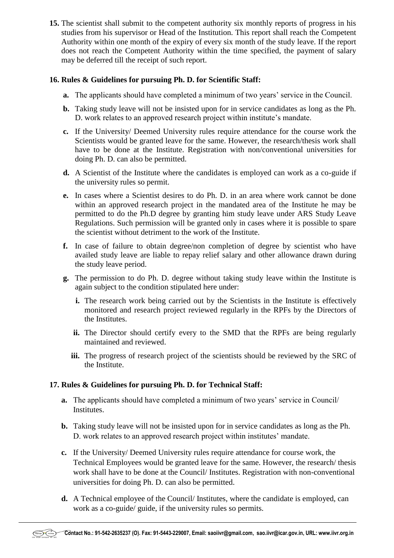**15.** The scientist shall submit to the competent authority six monthly reports of progress in his studies from his supervisor or Head of the Institution. This report shall reach the Competent Authority within one month of the expiry of every six month of the study leave. If the report does not reach the Competent Authority within the time specified, the payment of salary may be deferred till the receipt of such report.

#### **16. Rules & Guidelines for pursuing Ph. D. for Scientific Staff:**

- **a.** The applicants should have completed a minimum of two years' service in the Council.
- **b.** Taking study leave will not be insisted upon for in service candidates as long as the Ph. D. work relates to an approved research project within institute's mandate.
- **c.** If the University/ Deemed University rules require attendance for the course work the Scientists would be granted leave for the same. However, the research/thesis work shall have to be done at the Institute. Registration with non/conventional universities for doing Ph. D. can also be permitted.
- **d.** A Scientist of the Institute where the candidates is employed can work as a co-guide if the university rules so permit.
- **e.** In cases where a Scientist desires to do Ph. D. in an area where work cannot be done within an approved research project in the mandated area of the Institute he may be permitted to do the Ph.D degree by granting him study leave under ARS Study Leave Regulations. Such permission will be granted only in cases where it is possible to spare the scientist without detriment to the work of the Institute.
- **f.** In case of failure to obtain degree/non completion of degree by scientist who have availed study leave are liable to repay relief salary and other allowance drawn during the study leave period.
- **g.** The permission to do Ph. D. degree without taking study leave within the Institute is again subject to the condition stipulated here under:
	- **i.** The research work being carried out by the Scientists in the Institute is effectively monitored and research project reviewed regularly in the RPFs by the Directors of the Institutes.
	- **ii.** The Director should certify every to the SMD that the RPFs are being regularly maintained and reviewed.
	- **iii.** The progress of research project of the scientists should be reviewed by the SRC of the Institute.

## **17. Rules & Guidelines for pursuing Ph. D. for Technical Staff:**

- **a.** The applicants should have completed a minimum of two years' service in Council/ Institutes.
- **b.** Taking study leave will not be insisted upon for in service candidates as long as the Ph. D. work relates to an approved research project within institutes' mandate.
- **c.** If the University/ Deemed University rules require attendance for course work, the Technical Employees would be granted leave for the same. However, the research/ thesis work shall have to be done at the Council/ Institutes. Registration with non-conventional universities for doing Ph. D. can also be permitted.
- **d.** A Technical employee of the Council/ Institutes, where the candidate is employed, can work as a co-guide/ guide, if the university rules so permits.

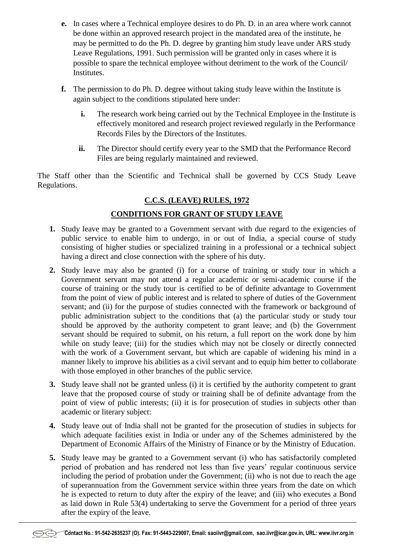- **e.** In cases where a Technical employee desires to do Ph. D. in an area where work cannot be done within an approved research project in the mandated area of the institute, he may be permitted to do the Ph. D. degree by granting him study leave under ARS study Leave Regulations, 1991. Such permission will be granted only in cases where it is possible to spare the technical employee without detriment to the work of the Council/ Institutes.
- **f.** The permission to do Ph. D. degree without taking study leave within the Institute is again subject to the conditions stipulated here under:
	- **i.** The research work being carried out by the Technical Employee in the Institute is effectively monitored and research project reviewed regularly in the Performance Records Files by the Directors of the Institutes.
	- **ii.** The Director should certify every year to the SMD that the Performance Record Files are being regularly maintained and reviewed.

The Staff other than the Scientific and Technical shall be governed by CCS Study Leave Regulations.

# **C.C.S. (LEAVE) RULES, 1972**

## **CONDITIONS FOR GRANT OF STUDY LEAVE**

- **1.** Study leave may be granted to a Government servant with due regard to the exigencies of public service to enable him to undergo, in or out of India, a special course of study consisting of higher studies or specialized training in a professional or a technical subject having a direct and close connection with the sphere of his duty.
- **2.** Study leave may also be granted (i) for a course of training or study tour in which a Government servant may not attend a regular academic or semi-academic course if the course of training or the study tour is certified to be of definite advantage to Government from the point of view of public interest and is related to sphere of duties of the Government servant; and (ii) for the purpose of studies connected with the framework or background of public administration subject to the conditions that (a) the particular study or study tour should be approved by the authority competent to grant leave; and (b) the Government servant should be required to submit, on his return, a full report on the work done by him while on study leave; (iii) for the studies which may not be closely or directly connected with the work of a Government servant, but which are capable of widening his mind in a manner likely to improve his abilities as a civil servant and to equip him better to collaborate with those employed in other branches of the public service.
- **3.** Study leave shall not be granted unless (i) it is certified by the authority competent to grant leave that the proposed course of study or training shall be of definite advantage from the point of view of public interests; (ii) it is for prosecution of studies in subjects other than academic or literary subject:
- **4.** Study leave out of India shall not be granted for the prosecution of studies in subjects for which adequate facilities exist in India or under any of the Schemes administered by the Department of Economic Affairs of the Ministry of Finance or by the Ministry of Education.
- **5.** Study leave may be granted to a Government servant (i) who has satisfactorily completed period of probation and has rendered not less than five years' regular continuous service including the period of probation under the Government; (ii) who is not due to reach the age of superannuation from the Government service within three years from the date on which he is expected to return to duty after the expiry of the leave; and (iii) who executes a Bond as laid down in Rule 53(4) undertaking to serve the Government for a period of three years after the expiry of the leave.

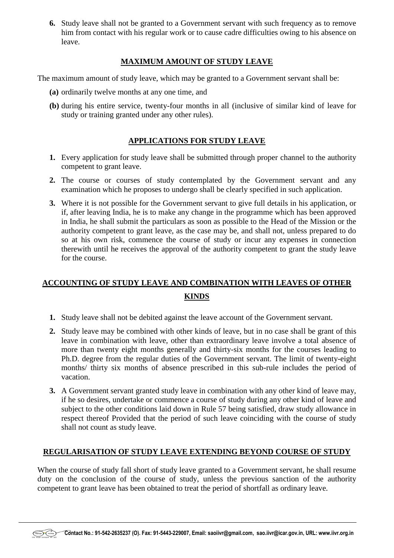**6.** Study leave shall not be granted to a Government servant with such frequency as to remove him from contact with his regular work or to cause cadre difficulties owing to his absence on leave.

## **MAXIMUM AMOUNT OF STUDY LEAVE**

The maximum amount of study leave, which may be granted to a Government servant shall be:

- **(a)** ordinarily twelve months at any one time, and
- **(b)** during his entire service, twenty-four months in all (inclusive of similar kind of leave for study or training granted under any other rules).

# **APPLICATIONS FOR STUDY LEAVE**

- **1.** Every application for study leave shall be submitted through proper channel to the authority competent to grant leave.
- **2.** The course or courses of study contemplated by the Government servant and any examination which he proposes to undergo shall be clearly specified in such application.
- **3.** Where it is not possible for the Government servant to give full details in his application, or if, after leaving India, he is to make any change in the programme which has been approved in India, he shall submit the particulars as soon as possible to the Head of the Mission or the authority competent to grant leave, as the case may be, and shall not, unless prepared to do so at his own risk, commence the course of study or incur any expenses in connection therewith until he receives the approval of the authority competent to grant the study leave for the course.

# **ACCOUNTING OF STUDY LEAVE AND COMBINATION WITH LEAVES OF OTHER KINDS**

- **1.** Study leave shall not be debited against the leave account of the Government servant.
- **2.** Study leave may be combined with other kinds of leave, but in no case shall be grant of this leave in combination with leave, other than extraordinary leave involve a total absence of more than twenty eight months generally and thirty-six months for the courses leading to Ph.D. degree from the regular duties of the Government servant. The limit of twenty-eight months/ thirty six months of absence prescribed in this sub-rule includes the period of vacation.
- **3.** A Government servant granted study leave in combination with any other kind of leave may, if he so desires, undertake or commence a course of study during any other kind of leave and subject to the other conditions laid down in Rule 57 being satisfied, draw study allowance in respect thereof Provided that the period of such leave coinciding with the course of study shall not count as study leave.

# **REGULARISATION OF STUDY LEAVE EXTENDING BEYOND COURSE OF STUDY**

When the course of study fall short of study leave granted to a Government servant, he shall resume duty on the conclusion of the course of study, unless the previous sanction of the authority competent to grant leave has been obtained to treat the period of shortfall as ordinary leave.